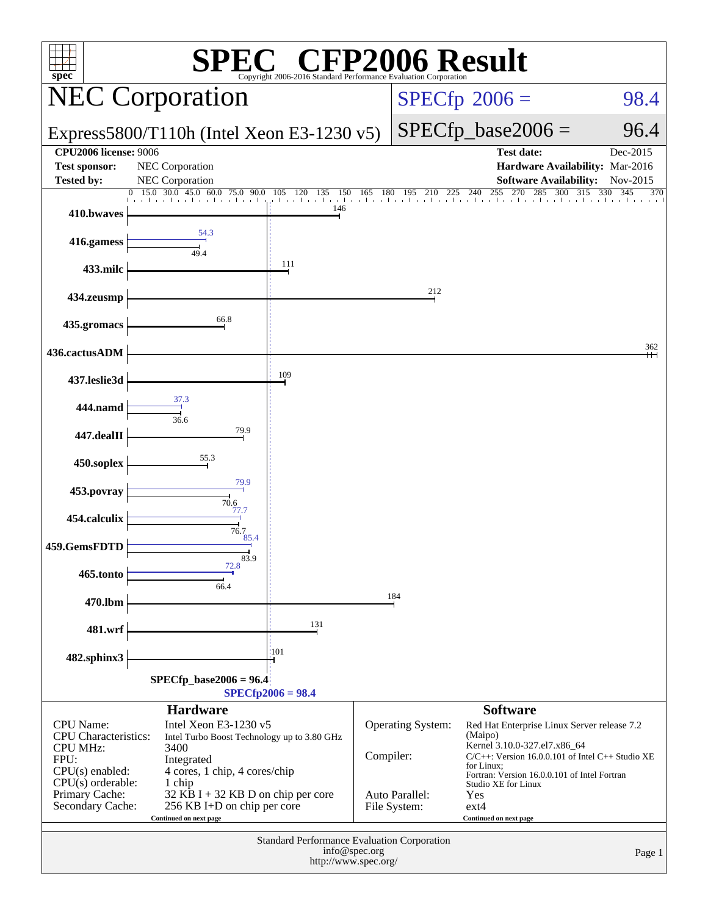| <b>CFP2006 Result</b><br>$spec^*$<br>Copyright 2006-2016 Standard Performance Evaluation Corporation                                                         |                                                                                                                                                                                                                                      |                                 |                       |                                                     |                                                                                                                                                                                                                                                                                   |                                      |  |
|--------------------------------------------------------------------------------------------------------------------------------------------------------------|--------------------------------------------------------------------------------------------------------------------------------------------------------------------------------------------------------------------------------------|---------------------------------|-----------------------|-----------------------------------------------------|-----------------------------------------------------------------------------------------------------------------------------------------------------------------------------------------------------------------------------------------------------------------------------------|--------------------------------------|--|
| <b>NEC Corporation</b>                                                                                                                                       |                                                                                                                                                                                                                                      |                                 |                       |                                                     | $SPECfp^{\circ}2006 =$                                                                                                                                                                                                                                                            | 98.4                                 |  |
| Express5800/T110h (Intel Xeon E3-1230 $v5$ )                                                                                                                 |                                                                                                                                                                                                                                      |                                 |                       | $SPECfp\_base2006 =$                                | 96.4                                                                                                                                                                                                                                                                              |                                      |  |
| <b>Test sponsor:</b>                                                                                                                                         | <b>CPU2006</b> license: 9006<br>NEC Corporation                                                                                                                                                                                      |                                 |                       |                                                     | <b>Test date:</b><br>Hardware Availability: Mar-2016                                                                                                                                                                                                                              | Dec-2015                             |  |
| <b>Tested by:</b>                                                                                                                                            | <b>NEC</b> Corporation<br>$30.0 \quad 45.0$<br>15.0<br>60.0<br>75.0 90.0                                                                                                                                                             | 105 120 135<br>150              | <sup>180</sup><br>165 | 195<br>210<br>225                                   | <b>Software Availability:</b><br>255<br>270<br>285<br>300<br>240                                                                                                                                                                                                                  | Nov-2015<br>315<br>330<br>345<br>370 |  |
| 410.bwaves                                                                                                                                                   |                                                                                                                                                                                                                                      | den and a car<br>de ande<br>146 |                       | and a card and a card and                           | the change based and and and and a                                                                                                                                                                                                                                                |                                      |  |
| 416.gamess                                                                                                                                                   | 54.3<br>49.4                                                                                                                                                                                                                         |                                 |                       |                                                     |                                                                                                                                                                                                                                                                                   |                                      |  |
| 433.milc                                                                                                                                                     |                                                                                                                                                                                                                                      | 111                             |                       |                                                     |                                                                                                                                                                                                                                                                                   |                                      |  |
| 434.zeusmp                                                                                                                                                   |                                                                                                                                                                                                                                      |                                 |                       | 212                                                 |                                                                                                                                                                                                                                                                                   |                                      |  |
| 435.gromacs                                                                                                                                                  | 66.8                                                                                                                                                                                                                                 |                                 |                       |                                                     |                                                                                                                                                                                                                                                                                   |                                      |  |
| 436.cactusADM                                                                                                                                                |                                                                                                                                                                                                                                      |                                 |                       |                                                     |                                                                                                                                                                                                                                                                                   | 362                                  |  |
| 437.leslie3d                                                                                                                                                 |                                                                                                                                                                                                                                      | 109                             |                       |                                                     |                                                                                                                                                                                                                                                                                   |                                      |  |
| 444.namd                                                                                                                                                     | 37.3<br>36.6                                                                                                                                                                                                                         |                                 |                       |                                                     |                                                                                                                                                                                                                                                                                   |                                      |  |
| 447.dealII                                                                                                                                                   | 79.9                                                                                                                                                                                                                                 |                                 |                       |                                                     |                                                                                                                                                                                                                                                                                   |                                      |  |
| 450.soplex                                                                                                                                                   | 55.3                                                                                                                                                                                                                                 |                                 |                       |                                                     |                                                                                                                                                                                                                                                                                   |                                      |  |
| 453.povray                                                                                                                                                   | 79.9<br>70.6                                                                                                                                                                                                                         |                                 |                       |                                                     |                                                                                                                                                                                                                                                                                   |                                      |  |
| 454.calculix                                                                                                                                                 | 77.7<br>76.7                                                                                                                                                                                                                         |                                 |                       |                                                     |                                                                                                                                                                                                                                                                                   |                                      |  |
| 459.GemsFDTD                                                                                                                                                 | 85.4<br>83.9                                                                                                                                                                                                                         |                                 |                       |                                                     |                                                                                                                                                                                                                                                                                   |                                      |  |
| 465.tonto                                                                                                                                                    | 72.8<br>66.4                                                                                                                                                                                                                         |                                 |                       |                                                     |                                                                                                                                                                                                                                                                                   |                                      |  |
| 470.lbm                                                                                                                                                      |                                                                                                                                                                                                                                      |                                 |                       | 184                                                 |                                                                                                                                                                                                                                                                                   |                                      |  |
| 481.wrf                                                                                                                                                      |                                                                                                                                                                                                                                      | 131                             |                       |                                                     |                                                                                                                                                                                                                                                                                   |                                      |  |
| 482.sphinx3                                                                                                                                                  | :101                                                                                                                                                                                                                                 |                                 |                       |                                                     |                                                                                                                                                                                                                                                                                   |                                      |  |
| $SPECfp\_base2006 = 96.4$<br>$SPECfp2006 = 98.4$                                                                                                             |                                                                                                                                                                                                                                      |                                 |                       |                                                     |                                                                                                                                                                                                                                                                                   |                                      |  |
|                                                                                                                                                              | <b>Hardware</b>                                                                                                                                                                                                                      |                                 |                       |                                                     | <b>Software</b>                                                                                                                                                                                                                                                                   |                                      |  |
| <b>CPU</b> Name:<br><b>CPU</b> Characteristics:<br><b>CPU MHz:</b><br>FPU:<br>$CPU(s)$ enabled:<br>$CPU(s)$ orderable:<br>Primary Cache:<br>Secondary Cache: | Intel Xeon E3-1230 v5<br>Intel Turbo Boost Technology up to 3.80 GHz<br>3400<br>Integrated<br>4 cores, 1 chip, 4 cores/chip<br>1 chip<br>32 KB I + 32 KB D on chip per core<br>256 KB I+D on chip per core<br>Continued on next page |                                 | Compiler:             | Operating System:<br>Auto Parallel:<br>File System: | Red Hat Enterprise Linux Server release 7.2<br>(Maipo)<br>Kernel 3.10.0-327.el7.x86_64<br>$C/C++$ : Version 16.0.0.101 of Intel $C++$ Studio XE<br>for Linux;<br>Fortran: Version 16.0.0.101 of Intel Fortran<br>Studio XE for Linux<br>Yes<br>$ext{4}$<br>Continued on next page |                                      |  |
| Standard Performance Evaluation Corporation<br>info@spec.org<br>Page 1<br>http://www.spec.org/                                                               |                                                                                                                                                                                                                                      |                                 |                       |                                                     |                                                                                                                                                                                                                                                                                   |                                      |  |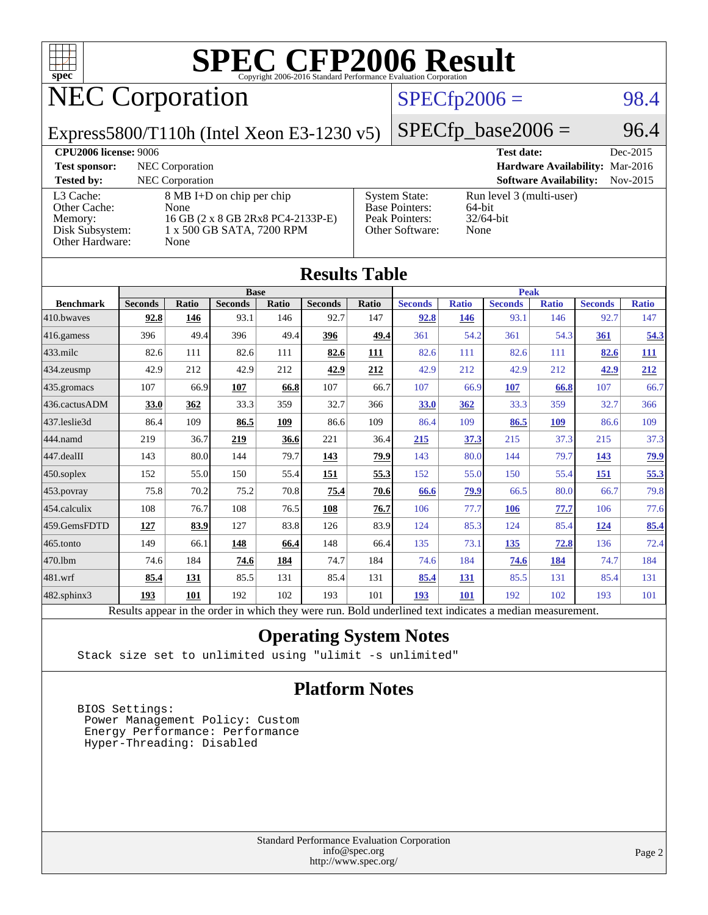

## NEC Corporation

### $SPECfp2006 = 98.4$  $SPECfp2006 = 98.4$

Express5800/T110h (Intel Xeon E3-1230 v5)

 $SPECTp\_base2006 = 96.4$ 

| <b>CPU2006 license: 9006</b>                                               |                                                                                                             |                                                                                    | <b>Test date:</b>                                          | Dec-2015   |
|----------------------------------------------------------------------------|-------------------------------------------------------------------------------------------------------------|------------------------------------------------------------------------------------|------------------------------------------------------------|------------|
| <b>Test sponsor:</b>                                                       | NEC Corporation                                                                                             |                                                                                    | Hardware Availability: Mar-2016                            |            |
| <b>Tested by:</b>                                                          | <b>NEC</b> Corporation                                                                                      |                                                                                    | <b>Software Availability:</b>                              | $Nov-2015$ |
| L3 Cache:<br>Other Cache:<br>Memory:<br>Disk Subsystem:<br>Other Hardware: | 8 MB I+D on chip per chip<br>None<br>16 GB (2 x 8 GB 2Rx8 PC4-2133P-E)<br>1 x 500 GB SATA, 7200 RPM<br>None | <b>System State:</b><br><b>Base Pointers:</b><br>Peak Pointers:<br>Other Software: | Run level 3 (multi-user)<br>64-bit<br>$32/64$ -bit<br>None |            |

| <b>Results Table</b>                                                                                     |                |              |                |       |                |       |                |              |                |              |                |              |
|----------------------------------------------------------------------------------------------------------|----------------|--------------|----------------|-------|----------------|-------|----------------|--------------|----------------|--------------|----------------|--------------|
|                                                                                                          | <b>Base</b>    |              |                |       | <b>Peak</b>    |       |                |              |                |              |                |              |
| <b>Benchmark</b>                                                                                         | <b>Seconds</b> | <b>Ratio</b> | <b>Seconds</b> | Ratio | <b>Seconds</b> | Ratio | <b>Seconds</b> | <b>Ratio</b> | <b>Seconds</b> | <b>Ratio</b> | <b>Seconds</b> | <b>Ratio</b> |
| 410.bwayes                                                                                               | 92.8           | 146          | 93.1           | 146   | 92.7           | 147   | 92.8           | 146          | 93.1           | 146          | 92.7           | 147          |
| 416.gamess                                                                                               | 396            | 49.4         | 396            | 49.4  | 396            | 49.4  | 361            | 54.2         | 361            | 54.3         | 361            | 54.3         |
| $433$ .milc                                                                                              | 82.6           | 111          | 82.6           | 111   | 82.6           | 111   | 82.6           | 111          | 82.6           | 111          | 82.6           | <u> 111</u>  |
| 434.zeusmp                                                                                               | 42.9           | 212          | 42.9           | 212   | 42.9           | 212   | 42.9           | 212          | 42.9           | 212          | 42.9           | 212          |
| 435 gromacs                                                                                              | 107            | 66.9         | 107            | 66.8  | 107            | 66.7  | 107            | 66.9         | 107            | 66.8         | 107            | 66.7         |
| 436.cactusADM                                                                                            | 33.0           | 362          | 33.3           | 359   | 32.7           | 366   | 33.0           | 362          | 33.3           | 359          | 32.7           | 366          |
| 437.leslie3d                                                                                             | 86.4           | 109          | 86.5           | 109   | 86.6           | 109   | 86.4           | 109          | 86.5           | 109          | 86.6           | 109          |
| 444.namd                                                                                                 | 219            | 36.7         | 219            | 36.6  | 221            | 36.4  | 215            | 37.3         | 215            | 37.3         | 215            | 37.3         |
| 447.dealII                                                                                               | 143            | 80.0         | 144            | 79.7  | 143            | 79.9  | 143            | 80.0         | 144            | 79.7         | 143            | <u>79.9</u>  |
| 450.soplex                                                                                               | 152            | 55.0         | 150            | 55.4  | 151            | 55.3  | 152            | 55.0         | 150            | 55.4         | 151            | 55.3         |
| 453.povray                                                                                               | 75.8           | 70.2         | 75.2           | 70.8  | 75.4           | 70.6  | 66.6           | 79.9         | 66.5           | 80.0         | 66.7           | 79.8         |
| 454.calculix                                                                                             | 108            | 76.7         | 108            | 76.5  | 108            | 76.7  | 106            | 77.7         | <b>106</b>     | 77.7         | 106            | 77.6         |
| 459.GemsFDTD                                                                                             | 127            | 83.9         | 127            | 83.8  | 126            | 83.9  | 124            | 85.3         | 124            | 85.4         | <u>124</u>     | 85.4         |
| 465.tonto                                                                                                | 149            | 66.1         | <u>148</u>     | 66.4  | 148            | 66.4  | 135            | 73.1         | 135            | 72.8         | 136            | 72.4         |
| 470.1bm                                                                                                  | 74.6           | 184          | 74.6           | 184   | 74.7           | 184   | 74.6           | 184          | 74.6           | <u>184</u>   | 74.7           | 184          |
| 481.wrf                                                                                                  | 85.4           | 131          | 85.5           | 131   | 85.4           | 131   | 85.4           | 131          | 85.5           | 131          | 85.4           | 131          |
| 482.sphinx3                                                                                              | 193            | 101          | 192            | 102   | 193            | 101   | 193            | 101          | 192            | 102          | 193            | 101          |
| Results appear in the order in which they were run. Bold underlined text indicates a median measurement. |                |              |                |       |                |       |                |              |                |              |                |              |

### **[Operating System Notes](http://www.spec.org/auto/cpu2006/Docs/result-fields.html#OperatingSystemNotes)**

Stack size set to unlimited using "ulimit -s unlimited"

### **[Platform Notes](http://www.spec.org/auto/cpu2006/Docs/result-fields.html#PlatformNotes)**

 BIOS Settings: Power Management Policy: Custom Energy Performance: Performance Hyper-Threading: Disabled

> Standard Performance Evaluation Corporation [info@spec.org](mailto:info@spec.org) <http://www.spec.org/>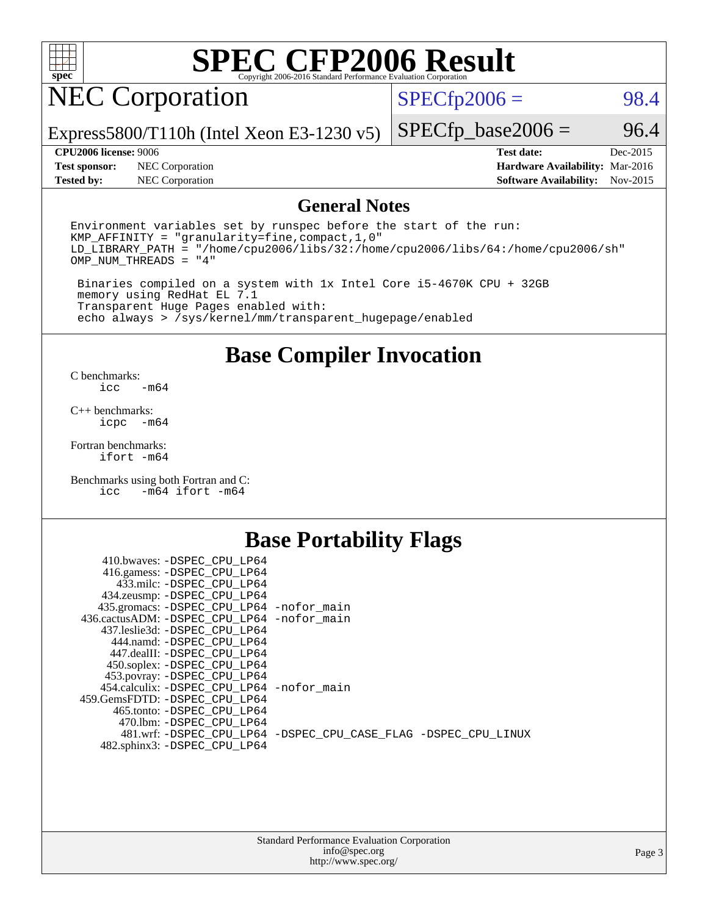

## NEC Corporation

 $SPECTp2006 = 98.4$ 

Express5800/T110h (Intel Xeon E3-1230 v5)

**[Test sponsor:](http://www.spec.org/auto/cpu2006/Docs/result-fields.html#Testsponsor)** NEC Corporation **[Hardware Availability:](http://www.spec.org/auto/cpu2006/Docs/result-fields.html#HardwareAvailability)** Mar-2016 **[Tested by:](http://www.spec.org/auto/cpu2006/Docs/result-fields.html#Testedby)** NEC Corporation **[Software Availability:](http://www.spec.org/auto/cpu2006/Docs/result-fields.html#SoftwareAvailability)** Nov-2015

 $SPECTp\_base2006 = 96.4$ 

**[CPU2006 license:](http://www.spec.org/auto/cpu2006/Docs/result-fields.html#CPU2006license)** 9006 **[Test date:](http://www.spec.org/auto/cpu2006/Docs/result-fields.html#Testdate)** Dec-2015

### **[General Notes](http://www.spec.org/auto/cpu2006/Docs/result-fields.html#GeneralNotes)**

Environment variables set by runspec before the start of the run: KMP\_AFFINITY = "granularity=fine,compact,1,0" LD\_LIBRARY\_PATH = "/home/cpu2006/libs/32:/home/cpu2006/libs/64:/home/cpu2006/sh" OMP\_NUM\_THREADS = "4"

 Binaries compiled on a system with 1x Intel Core i5-4670K CPU + 32GB memory using RedHat EL 7.1 Transparent Huge Pages enabled with: echo always > /sys/kernel/mm/transparent\_hugepage/enabled

### **[Base Compiler Invocation](http://www.spec.org/auto/cpu2006/Docs/result-fields.html#BaseCompilerInvocation)**

[C benchmarks](http://www.spec.org/auto/cpu2006/Docs/result-fields.html#Cbenchmarks):  $-m64$ 

[C++ benchmarks:](http://www.spec.org/auto/cpu2006/Docs/result-fields.html#CXXbenchmarks) [icpc -m64](http://www.spec.org/cpu2006/results/res2016q1/cpu2006-20160125-38817.flags.html#user_CXXbase_intel_icpc_64bit_bedb90c1146cab66620883ef4f41a67e)

[Fortran benchmarks](http://www.spec.org/auto/cpu2006/Docs/result-fields.html#Fortranbenchmarks): [ifort -m64](http://www.spec.org/cpu2006/results/res2016q1/cpu2006-20160125-38817.flags.html#user_FCbase_intel_ifort_64bit_ee9d0fb25645d0210d97eb0527dcc06e)

[Benchmarks using both Fortran and C](http://www.spec.org/auto/cpu2006/Docs/result-fields.html#BenchmarksusingbothFortranandC): [icc -m64](http://www.spec.org/cpu2006/results/res2016q1/cpu2006-20160125-38817.flags.html#user_CC_FCbase_intel_icc_64bit_0b7121f5ab7cfabee23d88897260401c) [ifort -m64](http://www.spec.org/cpu2006/results/res2016q1/cpu2006-20160125-38817.flags.html#user_CC_FCbase_intel_ifort_64bit_ee9d0fb25645d0210d97eb0527dcc06e)

### **[Base Portability Flags](http://www.spec.org/auto/cpu2006/Docs/result-fields.html#BasePortabilityFlags)**

| 410.bwaves: -DSPEC CPU LP64                 |                                                                |
|---------------------------------------------|----------------------------------------------------------------|
| 416.gamess: -DSPEC_CPU_LP64                 |                                                                |
| 433.milc: -DSPEC CPU LP64                   |                                                                |
| 434.zeusmp: -DSPEC_CPU_LP64                 |                                                                |
| 435.gromacs: -DSPEC_CPU_LP64 -nofor_main    |                                                                |
| 436.cactusADM: -DSPEC CPU LP64 -nofor main  |                                                                |
| 437.leslie3d: -DSPEC CPU LP64               |                                                                |
| 444.namd: -DSPEC CPU LP64                   |                                                                |
| 447.dealII: -DSPEC CPU LP64                 |                                                                |
| 450.soplex: -DSPEC_CPU_LP64                 |                                                                |
| 453.povray: -DSPEC_CPU_LP64                 |                                                                |
| 454.calculix: - DSPEC CPU LP64 - nofor main |                                                                |
| 459. GemsFDTD: - DSPEC CPU LP64             |                                                                |
| 465.tonto: - DSPEC CPU LP64                 |                                                                |
| 470.1bm: - DSPEC CPU LP64                   |                                                                |
|                                             | 481.wrf: -DSPEC CPU_LP64 -DSPEC_CPU_CASE_FLAG -DSPEC_CPU_LINUX |
| 482.sphinx3: -DSPEC_CPU_LP64                |                                                                |
|                                             |                                                                |

| <b>Standard Performance Evaluation Corporation</b> |
|----------------------------------------------------|
| info@spec.org                                      |
| http://www.spec.org/                               |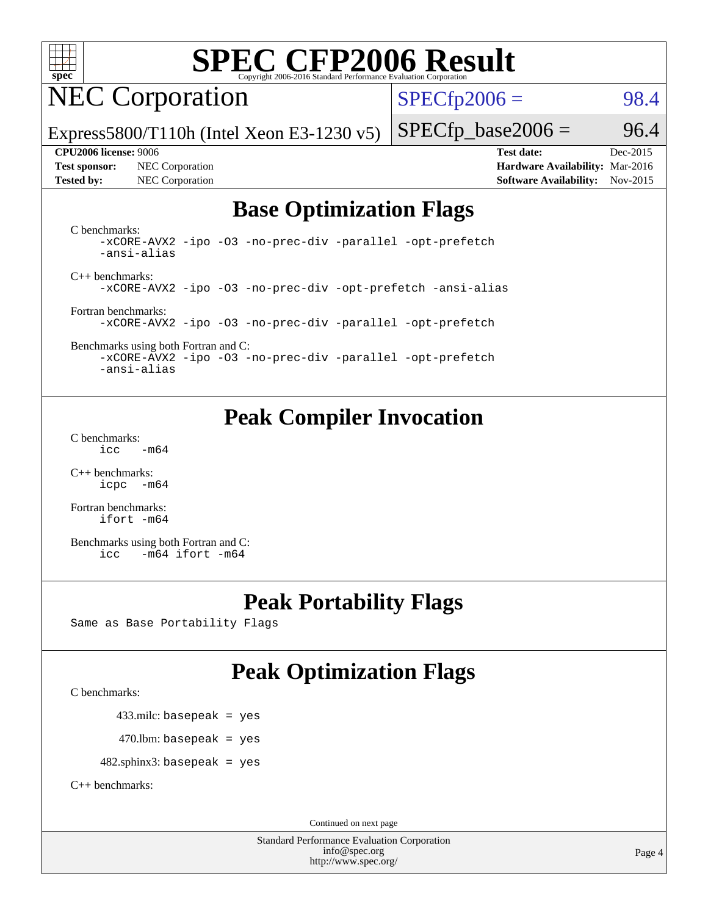

## NEC Corporation

 $SPECTp2006 = 98.4$ 

Express5800/T110h (Intel Xeon E3-1230 v5)

**[Test sponsor:](http://www.spec.org/auto/cpu2006/Docs/result-fields.html#Testsponsor)** NEC Corporation **[Hardware Availability:](http://www.spec.org/auto/cpu2006/Docs/result-fields.html#HardwareAvailability)** Mar-2016 **[Tested by:](http://www.spec.org/auto/cpu2006/Docs/result-fields.html#Testedby)** NEC Corporation **[Software Availability:](http://www.spec.org/auto/cpu2006/Docs/result-fields.html#SoftwareAvailability)** Nov-2015

 $SPECTp\_base2006 = 96.4$ **[CPU2006 license:](http://www.spec.org/auto/cpu2006/Docs/result-fields.html#CPU2006license)** 9006 **[Test date:](http://www.spec.org/auto/cpu2006/Docs/result-fields.html#Testdate)** Dec-2015

### **[Base Optimization Flags](http://www.spec.org/auto/cpu2006/Docs/result-fields.html#BaseOptimizationFlags)**

[C benchmarks](http://www.spec.org/auto/cpu2006/Docs/result-fields.html#Cbenchmarks):

[-xCORE-AVX2](http://www.spec.org/cpu2006/results/res2016q1/cpu2006-20160125-38817.flags.html#user_CCbase_f-xAVX2_5f5fc0cbe2c9f62c816d3e45806c70d7) [-ipo](http://www.spec.org/cpu2006/results/res2016q1/cpu2006-20160125-38817.flags.html#user_CCbase_f-ipo) [-O3](http://www.spec.org/cpu2006/results/res2016q1/cpu2006-20160125-38817.flags.html#user_CCbase_f-O3) [-no-prec-div](http://www.spec.org/cpu2006/results/res2016q1/cpu2006-20160125-38817.flags.html#user_CCbase_f-no-prec-div) [-parallel](http://www.spec.org/cpu2006/results/res2016q1/cpu2006-20160125-38817.flags.html#user_CCbase_f-parallel) [-opt-prefetch](http://www.spec.org/cpu2006/results/res2016q1/cpu2006-20160125-38817.flags.html#user_CCbase_f-opt-prefetch) [-ansi-alias](http://www.spec.org/cpu2006/results/res2016q1/cpu2006-20160125-38817.flags.html#user_CCbase_f-ansi-alias) [C++ benchmarks:](http://www.spec.org/auto/cpu2006/Docs/result-fields.html#CXXbenchmarks) [-xCORE-AVX2](http://www.spec.org/cpu2006/results/res2016q1/cpu2006-20160125-38817.flags.html#user_CXXbase_f-xAVX2_5f5fc0cbe2c9f62c816d3e45806c70d7) [-ipo](http://www.spec.org/cpu2006/results/res2016q1/cpu2006-20160125-38817.flags.html#user_CXXbase_f-ipo) [-O3](http://www.spec.org/cpu2006/results/res2016q1/cpu2006-20160125-38817.flags.html#user_CXXbase_f-O3) [-no-prec-div](http://www.spec.org/cpu2006/results/res2016q1/cpu2006-20160125-38817.flags.html#user_CXXbase_f-no-prec-div) [-opt-prefetch](http://www.spec.org/cpu2006/results/res2016q1/cpu2006-20160125-38817.flags.html#user_CXXbase_f-opt-prefetch) [-ansi-alias](http://www.spec.org/cpu2006/results/res2016q1/cpu2006-20160125-38817.flags.html#user_CXXbase_f-ansi-alias)

[Fortran benchmarks](http://www.spec.org/auto/cpu2006/Docs/result-fields.html#Fortranbenchmarks): [-xCORE-AVX2](http://www.spec.org/cpu2006/results/res2016q1/cpu2006-20160125-38817.flags.html#user_FCbase_f-xAVX2_5f5fc0cbe2c9f62c816d3e45806c70d7) [-ipo](http://www.spec.org/cpu2006/results/res2016q1/cpu2006-20160125-38817.flags.html#user_FCbase_f-ipo) [-O3](http://www.spec.org/cpu2006/results/res2016q1/cpu2006-20160125-38817.flags.html#user_FCbase_f-O3) [-no-prec-div](http://www.spec.org/cpu2006/results/res2016q1/cpu2006-20160125-38817.flags.html#user_FCbase_f-no-prec-div) [-parallel](http://www.spec.org/cpu2006/results/res2016q1/cpu2006-20160125-38817.flags.html#user_FCbase_f-parallel) [-opt-prefetch](http://www.spec.org/cpu2006/results/res2016q1/cpu2006-20160125-38817.flags.html#user_FCbase_f-opt-prefetch)

[Benchmarks using both Fortran and C](http://www.spec.org/auto/cpu2006/Docs/result-fields.html#BenchmarksusingbothFortranandC): [-xCORE-AVX2](http://www.spec.org/cpu2006/results/res2016q1/cpu2006-20160125-38817.flags.html#user_CC_FCbase_f-xAVX2_5f5fc0cbe2c9f62c816d3e45806c70d7) [-ipo](http://www.spec.org/cpu2006/results/res2016q1/cpu2006-20160125-38817.flags.html#user_CC_FCbase_f-ipo) [-O3](http://www.spec.org/cpu2006/results/res2016q1/cpu2006-20160125-38817.flags.html#user_CC_FCbase_f-O3) [-no-prec-div](http://www.spec.org/cpu2006/results/res2016q1/cpu2006-20160125-38817.flags.html#user_CC_FCbase_f-no-prec-div) [-parallel](http://www.spec.org/cpu2006/results/res2016q1/cpu2006-20160125-38817.flags.html#user_CC_FCbase_f-parallel) [-opt-prefetch](http://www.spec.org/cpu2006/results/res2016q1/cpu2006-20160125-38817.flags.html#user_CC_FCbase_f-opt-prefetch)

[-ansi-alias](http://www.spec.org/cpu2006/results/res2016q1/cpu2006-20160125-38817.flags.html#user_CC_FCbase_f-ansi-alias)

### **[Peak Compiler Invocation](http://www.spec.org/auto/cpu2006/Docs/result-fields.html#PeakCompilerInvocation)**

[C benchmarks](http://www.spec.org/auto/cpu2006/Docs/result-fields.html#Cbenchmarks):  $\text{icc}$   $-\text{m64}$ 

[C++ benchmarks:](http://www.spec.org/auto/cpu2006/Docs/result-fields.html#CXXbenchmarks) [icpc -m64](http://www.spec.org/cpu2006/results/res2016q1/cpu2006-20160125-38817.flags.html#user_CXXpeak_intel_icpc_64bit_bedb90c1146cab66620883ef4f41a67e)

[Fortran benchmarks](http://www.spec.org/auto/cpu2006/Docs/result-fields.html#Fortranbenchmarks): [ifort -m64](http://www.spec.org/cpu2006/results/res2016q1/cpu2006-20160125-38817.flags.html#user_FCpeak_intel_ifort_64bit_ee9d0fb25645d0210d97eb0527dcc06e)

[Benchmarks using both Fortran and C](http://www.spec.org/auto/cpu2006/Docs/result-fields.html#BenchmarksusingbothFortranandC): [icc -m64](http://www.spec.org/cpu2006/results/res2016q1/cpu2006-20160125-38817.flags.html#user_CC_FCpeak_intel_icc_64bit_0b7121f5ab7cfabee23d88897260401c) [ifort -m64](http://www.spec.org/cpu2006/results/res2016q1/cpu2006-20160125-38817.flags.html#user_CC_FCpeak_intel_ifort_64bit_ee9d0fb25645d0210d97eb0527dcc06e)

### **[Peak Portability Flags](http://www.spec.org/auto/cpu2006/Docs/result-fields.html#PeakPortabilityFlags)**

Same as Base Portability Flags

### **[Peak Optimization Flags](http://www.spec.org/auto/cpu2006/Docs/result-fields.html#PeakOptimizationFlags)**

[C benchmarks](http://www.spec.org/auto/cpu2006/Docs/result-fields.html#Cbenchmarks):

433.milc: basepeak = yes

 $470$ .lbm: basepeak = yes

482.sphinx3: basepeak = yes

[C++ benchmarks:](http://www.spec.org/auto/cpu2006/Docs/result-fields.html#CXXbenchmarks)

Continued on next page

Standard Performance Evaluation Corporation [info@spec.org](mailto:info@spec.org) <http://www.spec.org/>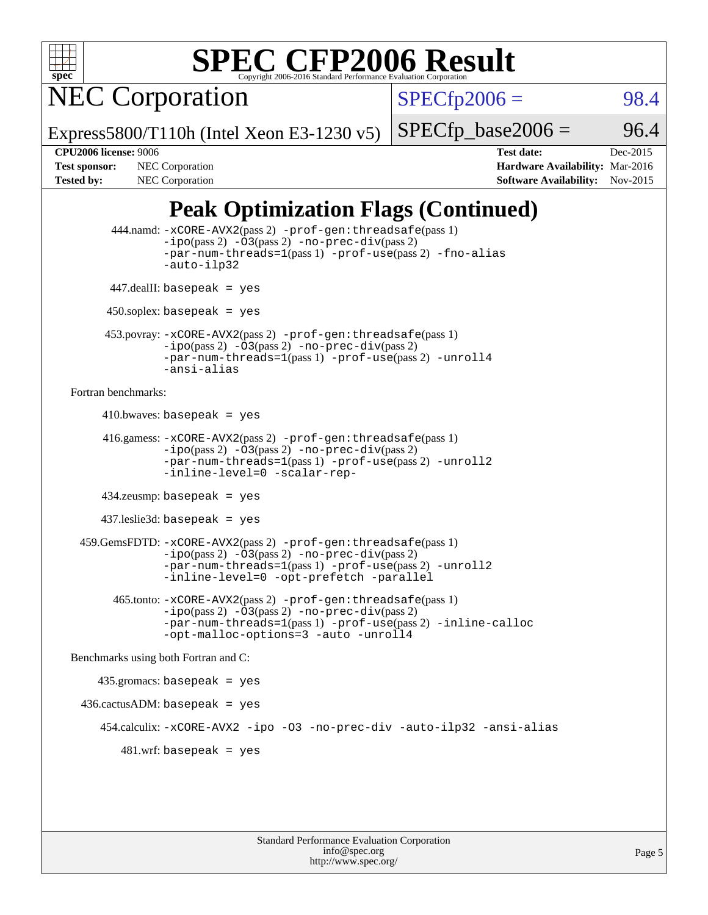

NEC Corporation

 $SPECTp2006 = 98.4$ 

Express5800/T110h (Intel Xeon E3-1230 v5)

 $SPECTp\_base2006 = 96.4$ 

**[CPU2006 license:](http://www.spec.org/auto/cpu2006/Docs/result-fields.html#CPU2006license)** 9006 **[Test date:](http://www.spec.org/auto/cpu2006/Docs/result-fields.html#Testdate)** Dec-2015 **[Test sponsor:](http://www.spec.org/auto/cpu2006/Docs/result-fields.html#Testsponsor)** NEC Corporation **NEC Corporation [Hardware Availability:](http://www.spec.org/auto/cpu2006/Docs/result-fields.html#HardwareAvailability)** Mar-2016 [Tested by:](http://www.spec.org/auto/cpu2006/Docs/result-fields.html#Testedby) NEC Corporation **[Software Availability:](http://www.spec.org/auto/cpu2006/Docs/result-fields.html#SoftwareAvailability)** Nov-2015

### **[Peak Optimization Flags \(Continued\)](http://www.spec.org/auto/cpu2006/Docs/result-fields.html#PeakOptimizationFlags)**

```
 444.namd: -xCORE-AVX2(pass 2) -prof-gen:threadsafe(pass 1)
               -ipo(pass 2) -03(pass 2) -no-prec-div(pass 2)
               -par-num-threads=1(pass 1) -prof-use(pass 2) -fno-alias
               -auto-ilp32
      447.dealII: basepeak = yes
       450.soplex: basepeak = yes
      453.povray: -xCORE-AVX2(pass 2) -prof-gen:threadsafe(pass 1)
               -no-prec-div(pass 2)-par-num-threads=1(pass 1) -prof-use(pass 2) -unroll4
               -ansi-alias
Fortran benchmarks: 
     410.bwaves: basepeak = yes 416.gamess: -xCORE-AVX2(pass 2) -prof-gen:threadsafe(pass 1)
               -ipo(pass 2) -03(pass 2) -no-prec-div(pass 2)-par-num-threads=1(pass 1) -prof-use(pass 2) -unroll2
               -inline-level=0 -scalar-rep-
      434.zeusmp: basepeak = yes
      437.leslie3d: basepeak = yes
  459.GemsFDTD: -xCORE-AVX2(pass 2) -prof-gen:threadsafe(pass 1)
               -i\text{po}(pass 2) -\tilde{O}3(pass 2)-no-prec-div(pass 2)
               -par-num-threads=1(pass 1) -prof-use(pass 2) -unroll2
               -inline-level=0 -opt-prefetch -parallel
        465.tonto: -xCORE-AVX2(pass 2) -prof-gen:threadsafe(pass 1)
               -no-prec-div(pass 2)-par-num-threads=1(pass 1) -prof-use(pass 2) -inline-calloc
               -opt-malloc-options=3 -auto -unroll4
Benchmarks using both Fortran and C: 
     435.gromacs: basepeak = yes
  436.cactusADM: basepeak = yes
      454.calculix: -xCORE-AVX2 -ipo -O3 -no-prec-div -auto-ilp32 -ansi-alias
        481 \text{.m}: basepeak = yes
```